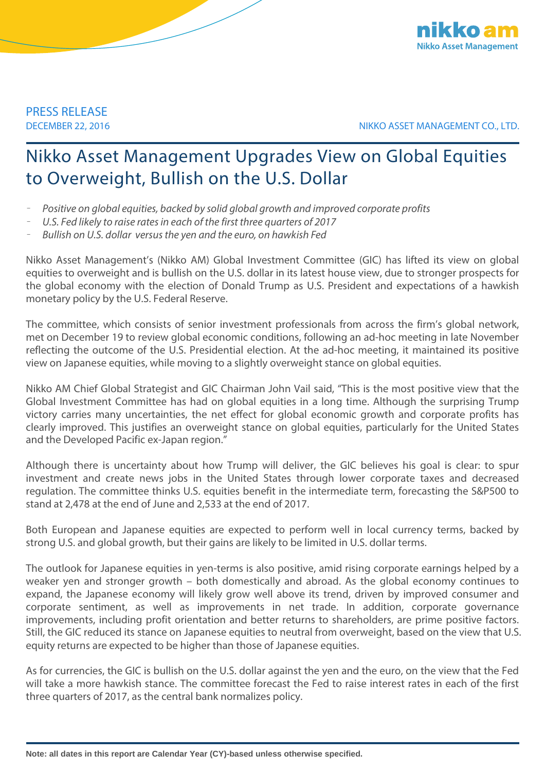

PRESS RELEASE

DECEMBER 22, 2016 NIKKO ASSET MANAGEMENT CO., LTD.

## Nikko Asset Management Upgrades View on Global Equities to Overweight, Bullish on the U.S. Dollar

- *Positive on global equities, backed by solid global growth and improved corporate profits*
- *U.S. Fed likely to raise rates in each of the first three quarters of 2017*
- *Bullish on U.S. dollar versus the yen and the euro, on hawkish Fed*

Nikko Asset Management's (Nikko AM) Global Investment Committee (GIC) has lifted its view on global equities to overweight and is bullish on the U.S. dollar in its latest house view, due to stronger prospects for the global economy with the election of Donald Trump as U.S. President and expectations of a hawkish monetary policy by the U.S. Federal Reserve.

The committee, which consists of senior investment professionals from across the firm's global network, met on December 19 to review global economic conditions, following an ad-hoc meeting in late November reflecting the outcome of the U.S. Presidential election. At the ad-hoc meeting, it maintained its positive view on Japanese equities, while moving to a slightly overweight stance on global equities.

Nikko AM Chief Global Strategist and GIC Chairman John Vail said, "This is the most positive view that the Global Investment Committee has had on global equities in a long time. Although the surprising Trump victory carries many uncertainties, the net effect for global economic growth and corporate profits has clearly improved. This justifies an overweight stance on global equities, particularly for the United States and the Developed Pacific ex-Japan region."

Although there is uncertainty about how Trump will deliver, the GIC believes his goal is clear: to spur investment and create news jobs in the United States through lower corporate taxes and decreased regulation. The committee thinks U.S. equities benefit in the intermediate term, forecasting the S&P500 to stand at 2,478 at the end of June and 2,533 at the end of 2017.

Both European and Japanese equities are expected to perform well in local currency terms, backed by strong U.S. and global growth, but their gains are likely to be limited in U.S. dollar terms.

The outlook for Japanese equities in yen-terms is also positive, amid rising corporate earnings helped by a weaker yen and stronger growth – both domestically and abroad. As the global economy continues to expand, the Japanese economy will likely grow well above its trend, driven by improved consumer and corporate sentiment, as well as improvements in net trade. In addition, corporate governance improvements, including profit orientation and better returns to shareholders, are prime positive factors. Still, the GIC reduced its stance on Japanese equities to neutral from overweight, based on the view that U.S. equity returns are expected to be higher than those of Japanese equities.

As for currencies, the GIC is bullish on the U.S. dollar against the yen and the euro, on the view that the Fed will take a more hawkish stance. The committee forecast the Fed to raise interest rates in each of the first three quarters of 2017, as the central bank normalizes policy.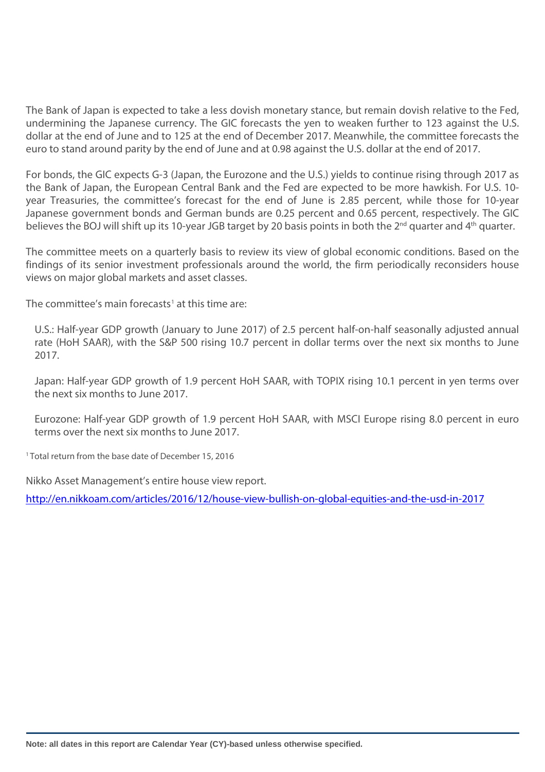The Bank of Japan is expected to take a less dovish monetary stance, but remain dovish relative to the Fed, undermining the Japanese currency. The GIC forecasts the yen to weaken further to 123 against the U.S. dollar at the end of June and to 125 at the end of December 2017. Meanwhile, the committee forecasts the euro to stand around parity by the end of June and at 0.98 against the U.S. dollar at the end of 2017.

For bonds, the GIC expects G-3 (Japan, the Eurozone and the U.S.) yields to continue rising through 2017 as the Bank of Japan, the European Central Bank and the Fed are expected to be more hawkish. For U.S. 10 year Treasuries, the committee's forecast for the end of June is 2.85 percent, while those for 10-year Japanese government bonds and German bunds are 0.25 percent and 0.65 percent, respectively. The GIC believes the BOJ will shift up its 10-year JGB target by 20 basis points in both the 2<sup>nd</sup> quarter and 4<sup>th</sup> quarter.

The committee meets on a quarterly basis to review its view of global economic conditions. Based on the findings of its senior investment professionals around the world, the firm periodically reconsiders house views on major global markets and asset classes.

The committee's main forecasts<sup>[1](#page-1-0)</sup> at this time are:

U.S.: Half-year GDP growth (January to June 2017) of 2.5 percent half-on-half seasonally adjusted annual rate (HoH SAAR), with the S&P 500 rising 10.7 percent in dollar terms over the next six months to June 2017.

Japan: Half-year GDP growth of 1.9 percent HoH SAAR, with TOPIX rising 10.1 percent in yen terms over the next six months to June 2017.

Eurozone: Half-year GDP growth of 1.9 percent HoH SAAR, with MSCI Europe rising 8.0 percent in euro terms over the next six months to June 2017.

<sup>1</sup> Total return from the base date of December 15, 2016

Nikko Asset Management's entire house view report.

<span id="page-1-0"></span><http://en.nikkoam.com/articles/2016/12/house-view-bullish-on-global-equities-and-the-usd-in-2017>